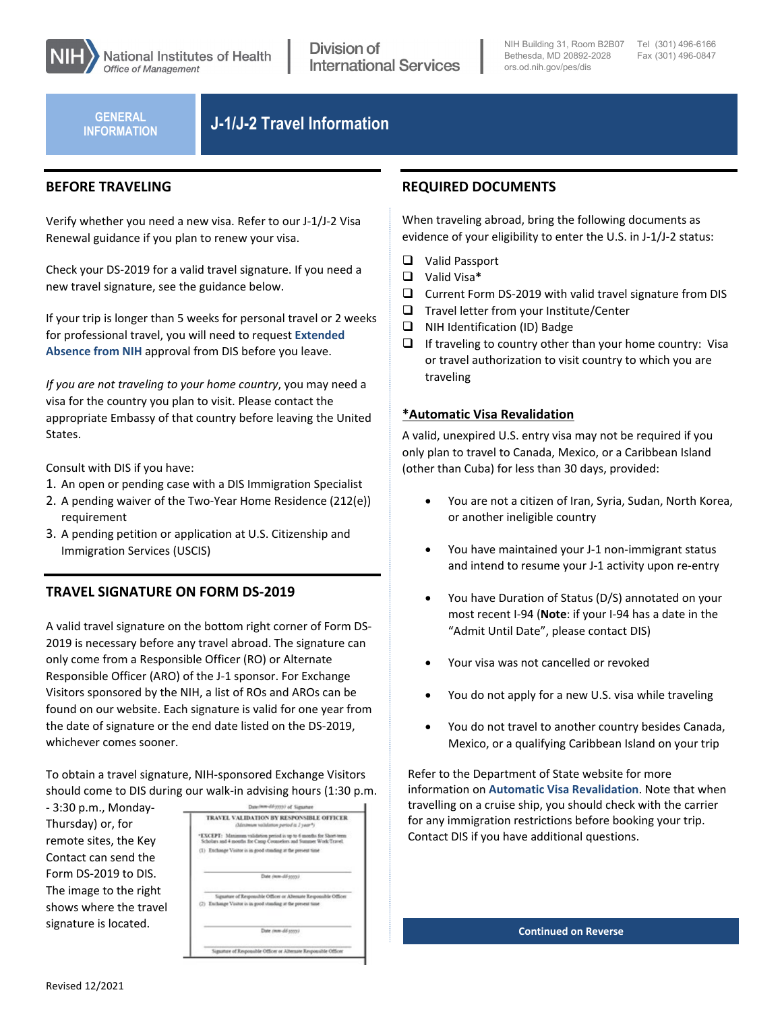

Division of **International Services** 

NIH Building 31, Room B2B07 Tel (301) 496-6166 Bethesda, MD 20892-2028 [ors.od.nih.gov/pes/dis](http://www.ors.od.nih.gov/pes/dis/Pages/default.aspx)

Fax (301) 496-0847

**INFORMATION**

# **J-1/J-2 Travel Information GENERAL**

### **BEFORE TRAVELING**

Verify whether you need a new visa. Refer to our J-1/J-2 Visa Renewal guidance if you plan to renew your visa.

Check your DS-2019 for a valid travel signature. If you need a new travel signature, see the guidance below.

If your trip is longer than 5 weeks for personal travel or 2 weeks for professional travel, you will need to request **[Extended](https://www.ors.od.nih.gov/pes/dis/AdministrativeStaff/Documents/RequestforExtendedAbsencefromNIH.pdf)  Absence [from NIH](https://www.ors.od.nih.gov/pes/dis/AdministrativeStaff/Documents/RequestforExtendedAbsencefromNIH.pdf)** approval from DIS before you leave.

*If you are not traveling to your home country*, you may need a visa for the country you plan to visit. Please contact the appropriate Embassy of that country before leaving the United States.

Consult with DIS if you have:

- 1. An open or pending case with a DIS Immigration Specialist
- 2. A pending waiver of the Two-Year Home Residence (212(e)) requirement
- 3. A pending petition or application at U.S. Citizenship and Immigration Services (USCIS)

## **TRAVEL SIGNATURE ON FORM DS-2019**

A valid travel signature on the bottom right corner of Form DS-2019 is necessary before any travel abroad. The signature can only come from a Responsible Officer (RO) or Alternate Responsible Officer (ARO) of the J-1 sponsor. For Exchange Visitors sponsored by the NIH, a list of ROs and AROs can be found on our website. Each signature is valid for one year from the date of signature or the end date listed on the DS-2019, whichever comes sooner.

To obtain a travel signature, NIH-sponsored Exchange Visitors should come to DIS during our walk-in advising hours (1:30 p.m.

| - 3:30 p.m., Monday-   |  |
|------------------------|--|
| Thursday) or, for      |  |
| remote sites, the Key  |  |
| Contact can send the   |  |
| Form DS-2019 to DIS.   |  |
| The image to the right |  |
| shows where the travel |  |
| signature is located.  |  |
|                        |  |

| Date (NHH-dif-1553) of Signature |                                                                                                                                         |  |
|----------------------------------|-----------------------------------------------------------------------------------------------------------------------------------------|--|
|                                  | TRAVEL VALIDATION BY RESPONSIBLE OFFICER<br>(Meximum validation period is I year*)                                                      |  |
|                                  | "EXCEPT: Maximum validation period is up to 6 months for Short-term<br>Scholars and 4 months for Camp Counselors and Summer Work/Travel |  |
|                                  | (1) Exchange Visitor is in good standing at the present time                                                                            |  |
|                                  | Date (non-dd-3030)                                                                                                                      |  |
|                                  | Signature of Responsible Officer or Alternate Responsible Officer<br>(2) Exchange Visitor is in good standing at the present time       |  |
|                                  | Date (mm-dd-3030)                                                                                                                       |  |
|                                  | Signature of Responsible Officer or Alternate Responsible Officer                                                                       |  |

## **REQUIRED DOCUMENTS**

When traveling abroad, bring the following documents as evidence of your eligibility to enter the U.S. in J-1/J-2 status:

- □ Valid Passport
- Valid Visa**\***
- $\square$  Current Form DS-2019 with valid travel signature from DIS
- $\Box$  Travel letter from your Institute/Center
- $\Box$  NIH Identification (ID) Badge
- $\Box$  If traveling to country other than your home country: Visa or travel authorization to visit country to which you are traveling

### **\*Automatic Visa Revalidation**

A valid, unexpired U.S. entry visa may not be required if you only plan to travel to Canada, Mexico, or a Caribbean Island (other than Cuba) for less than 30 days, provided:

- You are not a citizen of Iran, Syria, Sudan, North Korea, or another ineligible country
- You have maintained your J-1 non-immigrant status and intend to resume your J-1 activity upon re-entry
- You have Duration of Status (D/S) annotated on your most recent I-94 (**Note**: if your I-94 has a date in the "Admit Until Date", please contact DIS)
- Your visa was not cancelled or revoked
- You do not apply for a new U.S. visa while traveling
- You do not travel to another country besides Canada, Mexico, or a qualifying Caribbean Island on your trip

Refer to the Department of State website for more information on **[Automatic Visa Revalidation](https://travel.state.gov/content/travel/en/us-visas/visa-information-resources/visa-expiration-date/auto-revalidate.html)**. Note that when travelling on a cruise ship, you should check with the carrier for any immigration restrictions before booking your trip. Contact DIS if you have additional questions.

**Continued on Reverse**